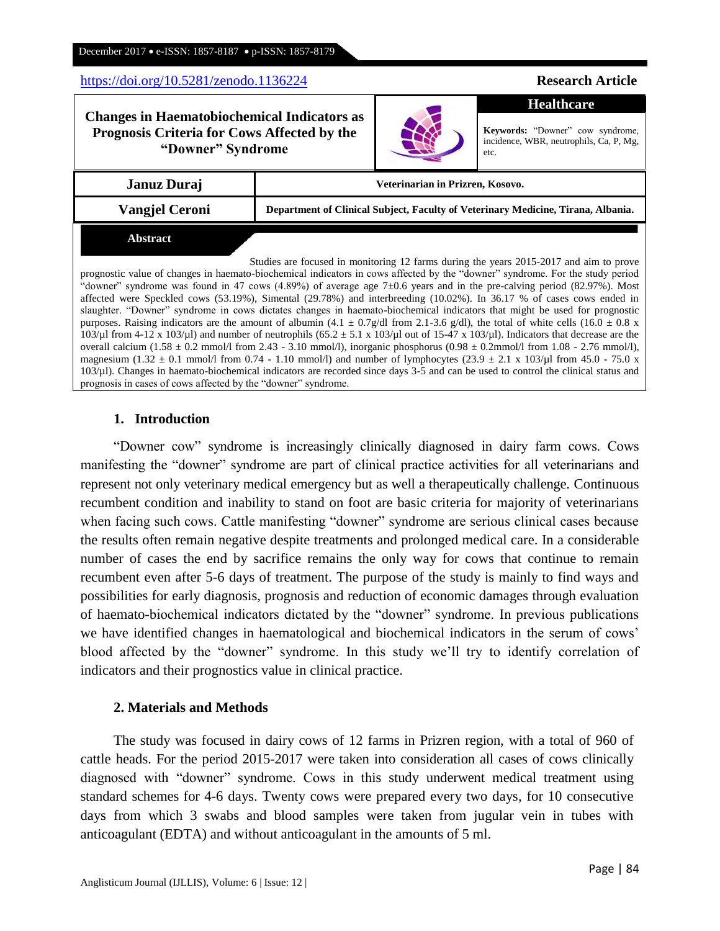### <https://doi.org/10.5281/zenodo.1136224> **Research Article**

**Prognosis Criteria for Cows Affected by the "Downer" Syndrome**

**Changes in Haematobiochemical Indicators as** 

| Januz Duraj | Veterinarian in Prizren, Kosovo. |
|-------------|----------------------------------|
|             |                                  |

**Vangjel Ceroni Department of Clinical Subject, Faculty of Veterinary Medicine, Tirana, Albania.**

#### **Abstract**

Studies are focused in monitoring 12 farms during the years 2015-2017 and aim to prove prognostic value of changes in haemato-biochemical indicators in cows affected by the "downer" syndrome. For the study period "downer" syndrome was found in 47 cows (4.89%) of average age  $7\pm0.6$  years and in the pre-calving period (82.97%). Most affected were Speckled cows (53.19%), Simental (29.78%) and interbreeding (10.02%). In 36.17 % of cases cows ended in slaughter. "Downer" syndrome in cows dictates changes in haemato-biochemical indicators that might be used for prognostic purposes. Raising indicators are the amount of albumin (4.1  $\pm$  0.7g/dl from 2.1-3.6 g/dl), the total of white cells (16.0  $\pm$  0.8 x 103/µl from 4-12 x 103/µl) and number of neutrophils (65.2  $\pm$  5.1 x 103/µl out of 15-47 x 103/µl). Indicators that decrease are the overall calcium  $(1.58 \pm 0.2 \text{ mmol/l from } 2.43 - 3.10 \text{ mmol/l})$ , inorganic phosphorus  $(0.98 \pm 0.2 \text{ mmol/l from } 1.08 - 2.76 \text{ mmol/l})$ , magnesium (1.32 ± 0.1 mmol/l from 0.74 - 1.10 mmol/l) and number of lymphocytes (23.9 ± 2.1 x 103/ $\mu$ l from 45.0 - 75.0 x 103/µl). Changes in haemato-biochemical indicators are recorded since days 3-5 and can be used to control the clinical status and prognosis in cases of cows affected by the "downer" syndrome.

# **1. Introduction**

"Downer cow" syndrome is increasingly clinically diagnosed in dairy farm cows. Cows manifesting the "downer" syndrome are part of clinical practice activities for all veterinarians and represent not only veterinary medical emergency but as well a therapeutically challenge. Continuous recumbent condition and inability to stand on foot are basic criteria for majority of veterinarians when facing such cows. Cattle manifesting "downer" syndrome are serious clinical cases because the results often remain negative despite treatments and prolonged medical care. In a considerable number of cases the end by sacrifice remains the only way for cows that continue to remain recumbent even after 5-6 days of treatment. The purpose of the study is mainly to find ways and possibilities for early diagnosis, prognosis and reduction of economic damages through evaluation of haemato-biochemical indicators dictated by the "downer" syndrome. In previous publications we have identified changes in haematological and biochemical indicators in the serum of cows' blood affected by the "downer" syndrome. In this study we"ll try to identify correlation of indicators and their prognostics value in clinical practice.

## **2. Materials and Methods**

The study was focused in dairy cows of 12 farms in Prizren region, with a total of 960 of cattle heads. For the period 2015-2017 were taken into consideration all cases of cows clinically diagnosed with "downer" syndrome. Cows in this study underwent medical treatment using standard schemes for 4-6 days. Twenty cows were prepared every two days, for 10 consecutive days from which 3 swabs and blood samples were taken from jugular vein in tubes with anticoagulant (EDTA) and without anticoagulant in the amounts of 5 ml.



**Keywords:** "Downer" cow syndrome,

incidence, WBR, neutrophils, Ca, P, Mg, etc.

**Healthcare**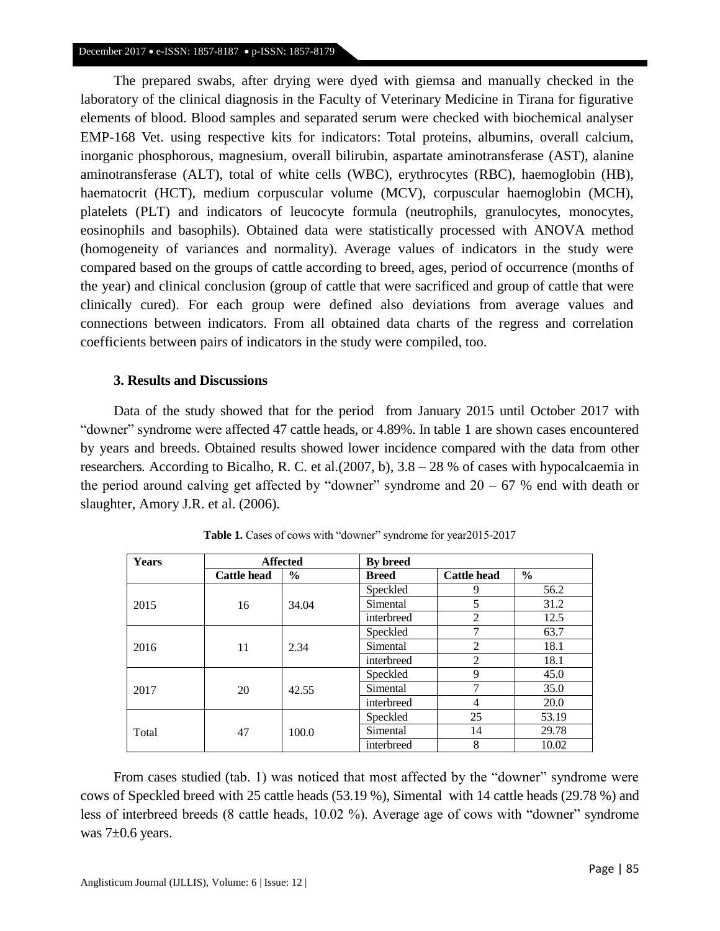The prepared swabs, after drying were dyed with giemsa and manually checked in the laboratory of the clinical diagnosis in the Faculty of Veterinary Medicine in Tirana for figurative elements of blood. Blood samples and separated serum were checked with biochemical analyser EMP-168 Vet. using respective kits for indicators: Total proteins, albumins, overall calcium, inorganic phosphorous, magnesium, overall bilirubin, aspartate aminotransferase (AST), alanine aminotransferase (ALT), total of white cells (WBC), erythrocytes (RBC), haemoglobin (HB), haematocrit (HCT), medium corpuscular volume (MCV), corpuscular haemoglobin (MCH), platelets (PLT) and indicators of leucocyte formula (neutrophils, granulocytes, monocytes, eosinophils and basophils). Obtained data were statistically processed with ANOVA method (homogeneity of variances and normality). Average values of indicators in the study were compared based on the groups of cattle according to breed, ages, period of occurrence (months of the year) and clinical conclusion (group of cattle that were sacrificed and group of cattle that were clinically cured). For each group were defined also deviations from average values and connections between indicators. From all obtained data charts of the regress and correlation coefficients between pairs of indicators in the study were compiled, too.

## **3. Results and Discussions**

Data of the study showed that for the period from January 2015 until October 2017 with "downer" syndrome were affected 47 cattle heads, or 4.89%. In table 1 are shown cases encountered by years and breeds. Obtained results showed lower incidence compared with the data from other researchers*.* According to Bicalho, R. C. et al.(2007, b), 3.8 – 28 % of cases with hypocalcaemia in the period around calving get affected by "downer" syndrome and  $20 - 67$  % end with death or slaughter, Amory J.R. et al. (2006)*.*

| Years | <b>Affected</b>    |               | <b>By breed</b> |                    |               |  |
|-------|--------------------|---------------|-----------------|--------------------|---------------|--|
|       | <b>Cattle head</b> | $\frac{6}{6}$ | <b>Breed</b>    | <b>Cattle head</b> | $\frac{6}{9}$ |  |
|       |                    |               | Speckled        | 9                  | 56.2          |  |
| 2015  | 16                 | 34.04         | Simental        | 5                  | 31.2          |  |
|       |                    |               | interbreed      | 2                  | 12.5          |  |
| 2016  | 11                 | 2.34          | Speckled        | 7                  | 63.7          |  |
|       |                    |               | Simental        | $\overline{2}$     | 18.1          |  |
|       |                    |               | interbreed      | $\overline{2}$     | 18.1          |  |
| 2017  | 20                 | 42.55         | Speckled        | 9                  | 45.0          |  |
|       |                    |               | Simental        | 7                  | 35.0          |  |
|       |                    |               | interbreed      | 4                  | 20.0          |  |
| Total | 47                 | 100.0         | Speckled        | 25                 | 53.19         |  |
|       |                    |               | Simental        | 14                 | 29.78         |  |
|       |                    |               | interbreed      | 8                  | 10.02         |  |

Table 1. Cases of cows with "downer" syndrome for year2015-2017

From cases studied (tab. 1) was noticed that most affected by the "downer" syndrome were cows of Speckled breed with 25 cattle heads (53.19 %), Simental with 14 cattle heads (29.78 %) and less of interbreed breeds (8 cattle heads, 10.02 %). Average age of cows with "downer" syndrome was 7±0.6 years.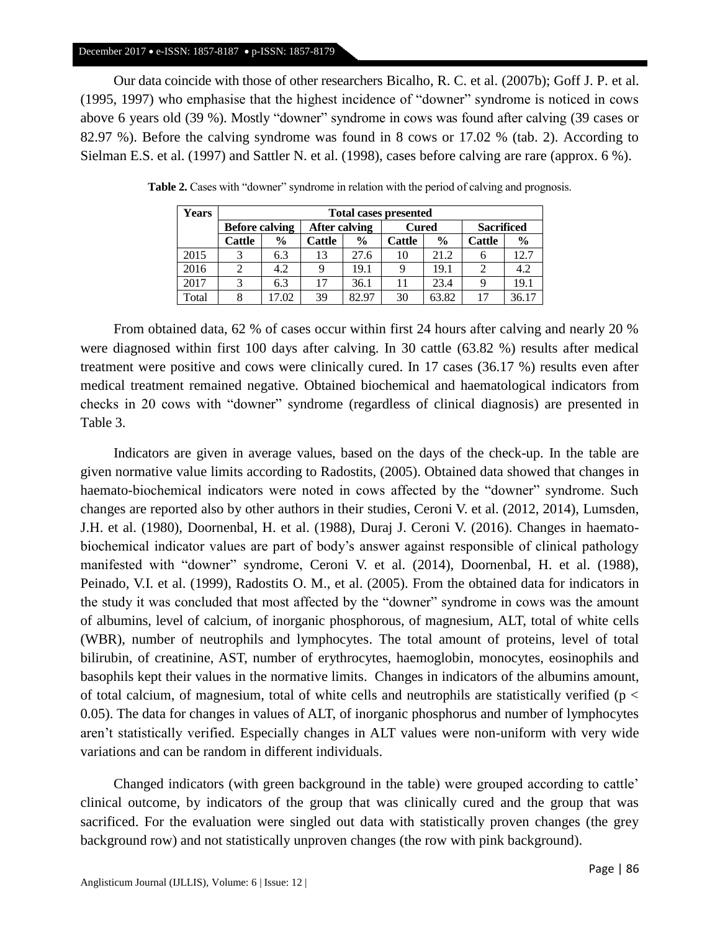#### December 2017 • e-ISSN: 1857-8187 • p-ISSN: 1857-8179

Our data coincide with those of other researchers Bicalho, R. C. et al. (2007b); Goff J. P. et al. (1995, 1997) who emphasise that the highest incidence of "downer" syndrome is noticed in cows above 6 years old (39 %). Mostly "downer" syndrome in cows was found after calving (39 cases or 82.97 %). Before the calving syndrome was found in 8 cows or 17.02 % (tab. 2). According to Sielman E.S. et al. (1997) and Sattler N. et al. (1998), cases before calving are rare (approx. 6 %).

| <b>Years</b> | <b>Total cases presented</b> |                       |               |               |               |               |               |                   |  |
|--------------|------------------------------|-----------------------|---------------|---------------|---------------|---------------|---------------|-------------------|--|
|              |                              | <b>Before calving</b> |               | After calving |               | <b>Cured</b>  |               | <b>Sacrificed</b> |  |
|              | <b>Cattle</b>                | $\frac{0}{0}$         | <b>Cattle</b> | $\frac{6}{9}$ | <b>Cattle</b> | $\frac{0}{0}$ | <b>Cattle</b> | $\frac{0}{0}$     |  |
| 2015         |                              | 6.3                   | 13            | 27.6          | 10            | 21.2          | 6             | 12.7              |  |
| 2016         |                              | 4.2                   |               | 19.1          |               | 19.1          |               | 4.2               |  |
| 2017         |                              | 6.3                   | 17            | 36.1          | 11            | 23.4          |               | 19.1              |  |
| Total        |                              | 17.02                 | 39            | 82.97         | 30            | 63.82         | 17            | 36.17             |  |

Table 2. Cases with "downer" syndrome in relation with the period of calving and prognosis.

From obtained data, 62 % of cases occur within first 24 hours after calving and nearly 20 % were diagnosed within first 100 days after calving. In 30 cattle (63.82 %) results after medical treatment were positive and cows were clinically cured. In 17 cases (36.17 %) results even after medical treatment remained negative. Obtained biochemical and haematological indicators from checks in 20 cows with "downer" syndrome (regardless of clinical diagnosis) are presented in Table 3.

Indicators are given in average values, based on the days of the check-up. In the table are given normative value limits according to Radostits, (2005). Obtained data showed that changes in haemato-biochemical indicators were noted in cows affected by the "downer" syndrome. Such changes are reported also by other authors in their studies, Ceroni V. et al. (2012, 2014), Lumsden, J.H. et al. (1980), Doornenbal, H. et al. (1988), Duraj J. Ceroni V. (2016). Changes in haematobiochemical indicator values are part of body"s answer against responsible of clinical pathology manifested with "downer" syndrome, Ceroni V. et al. (2014), Doornenbal, H. et al. (1988), Peinado, V.I. et al. (1999), Radostits O. M., et al. (2005). From the obtained data for indicators in the study it was concluded that most affected by the "downer" syndrome in cows was the amount of albumins, level of calcium, of inorganic phosphorous, of magnesium, ALT, total of white cells (WBR), number of neutrophils and lymphocytes. The total amount of proteins, level of total bilirubin, of creatinine, AST, number of erythrocytes, haemoglobin, monocytes, eosinophils and basophils kept their values in the normative limits. Changes in indicators of the albumins amount, of total calcium, of magnesium, total of white cells and neutrophils are statistically verified ( $p <$ 0.05). The data for changes in values of ALT, of inorganic phosphorus and number of lymphocytes aren"t statistically verified. Especially changes in ALT values were non-uniform with very wide variations and can be random in different individuals.

Changed indicators (with green background in the table) were grouped according to cattle" clinical outcome, by indicators of the group that was clinically cured and the group that was sacrificed. For the evaluation were singled out data with statistically proven changes (the grey background row) and not statistically unproven changes (the row with pink background).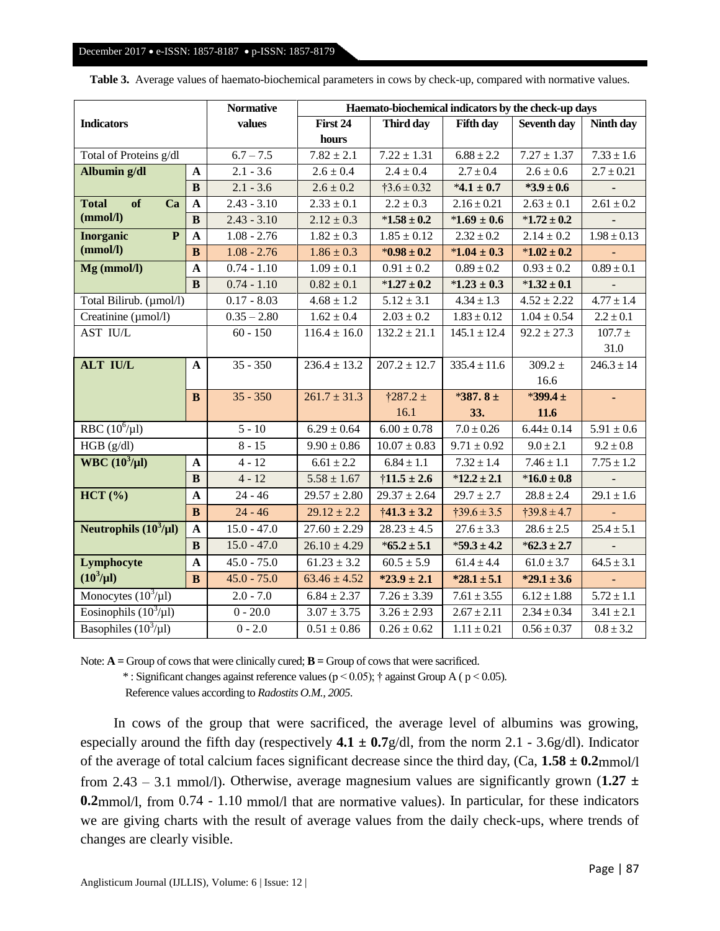| <b>Indicators</b>                           |              | <b>Normative</b> | Haemato-biochemical indicators by the check-up days |                        |                             |                    |                 |
|---------------------------------------------|--------------|------------------|-----------------------------------------------------|------------------------|-----------------------------|--------------------|-----------------|
|                                             |              | values           | First 24                                            | Third day              | <b>Fifth day</b>            | <b>Seventh day</b> | Ninth day       |
|                                             |              |                  | hours                                               |                        |                             |                    |                 |
| Total of Proteins g/dl                      |              | $6.7 - 7.5$      | $7.82 \pm 2.1$                                      | $7.22 \pm 1.31$        | $6.88 \pm 2.2$              | $7.27 \pm 1.37$    | $7.33 \pm 1.6$  |
| Albumin g/dl<br>$\boldsymbol{\rm A}$        |              | $2.1 - 3.6$      | $2.6 \pm 0.4$                                       | $2.4 \pm 0.4$          | $2.7 \pm 0.4$               | $2.6 \pm 0.6$      | $2.7 \pm 0.21$  |
|                                             | $\bf{B}$     | $2.1 - 3.6$      | $2.6 \pm 0.2$                                       | $\dagger 3.6 \pm 0.32$ | $*4.1 \pm 0.7$              | $*3.9 \pm 0.6$     |                 |
| <b>Total</b><br>of<br>Ca                    | $\mathbf{A}$ | $2.43 - 3.10$    | $2.33 \pm 0.1$                                      | $2.2 \pm 0.3$          | $2.16 \pm 0.21$             | $2.63 \pm 0.1$     | $2.61 \pm 0.2$  |
| (mmol/l)                                    | $\bf{B}$     | $2.43 - 3.10$    | $2.12 \pm 0.3$                                      | $*1.58 \pm 0.2$        | $*1.69 \pm 0.6$             | $*1.72 \pm 0.2$    |                 |
| $\overline{\mathbf{P}}$<br><b>Inorganic</b> | $\mathbf{A}$ | $1.08 - 2.76$    | $1.82 \pm 0.3$                                      | $1.85 \pm 0.12$        | $2.32 \pm 0.2$              | $2.14 \pm 0.2$     | $1.98 \pm 0.13$ |
| (mmol/l)                                    | $\bf{B}$     | $1.08 - 2.76$    | $1.86 \pm 0.3$                                      | $*0.98 \pm 0.2$        | $*1.04 \pm 0.3$             | $*1.02 \pm 0.2$    |                 |
| Mg (mmol/l)                                 | $\mathbf A$  | $0.74 - 1.10$    | $1.09 \pm 0.1$                                      | $0.91 \pm 0.2$         | $0.89 \pm 0.2$              | $0.93 \pm 0.2$     | $0.89 \pm 0.1$  |
|                                             | $\bf{B}$     | $0.74 - 1.10$    | $0.82 \pm 0.1$                                      | $*1.27 \pm 0.2$        | $*1.23 \pm 0.3$             | $*1.32 \pm 0.1$    |                 |
| Total Bilirub. (µmol/l)                     |              | $0.17 - 8.03$    | $4.68 \pm 1.2$                                      | $5.12 \pm 3.1$         | $4.34 \pm 1.3$              | $4.52 \pm 2.22$    | $4.77 \pm 1.4$  |
| Creatinine (µmol/l)                         |              | $0.35 - 2.80$    | $1.62 \pm 0.4$                                      | $2.03 \pm 0.2$         | $1.83 \pm 0.12$             | $1.04 \pm 0.54$    | $2.2 \pm 0.1$   |
| <b>AST IU/L</b>                             |              | $60 - 150$       | $116.4 \pm 16.0$                                    | $132.2 \pm 21.1$       | $\overline{145.1} \pm 12.4$ | $92.2 \pm 27.3$    | $107.7 \pm$     |
|                                             |              |                  |                                                     |                        |                             |                    | 31.0            |
| <b>ALT IU/L</b>                             | $\mathbf A$  | $35 - 350$       | $236.4 \pm 13.2$                                    | $207.2 \pm 12.7$       | $335.4 \pm 11.6$            | $309.2 \pm$        | $246.3 \pm 14$  |
|                                             |              |                  |                                                     |                        |                             | 16.6               |                 |
|                                             | $\bf{B}$     | $35 - 350$       | $261.7 \pm 31.3$                                    | $\frac{1287.2}{ }$     | *387.8 ±                    | $*399.4 \pm$       | ä,              |
|                                             |              |                  |                                                     | 16.1                   | 33.                         | 11.6               |                 |
| RBC $(10^6/\mu l)$                          |              | $5 - 10$         | $6.29 \pm 0.64$                                     | $6.00 \pm 0.78$        | $7.0 \pm 0.26$              | $6.44 \pm 0.14$    | $5.91 \pm 0.6$  |
| HGB (g/dl)                                  |              | $8 - 15$         | $9.90 \pm 0.86$                                     | $10.07 \pm 0.83$       | $9.71 \pm 0.92$             | $9.0 \pm 2.1$      | $9.2 \pm 0.8$   |
| WBC $(10^3/\mu l)$                          | $\mathbf{A}$ | $4 - 12$         | $6.61 \pm 2.2$                                      | $6.84 \pm 1.1$         | $7.32 \pm 1.4$              | $7.46 \pm 1.1$     | $7.75 \pm 1.2$  |
|                                             | B            | $4 - 12$         | $5.58 \pm 1.67$                                     | $\dagger$ 11.5 ± 2.6   | $*12.2 \pm 2.1$             | $*16.0 \pm 0.8$    |                 |
| HCT (%)                                     | $\mathbf{A}$ | $24 - 46$        | $29.57 \pm 2.80$                                    | $29.37 \pm 2.64$       | $29.7 \pm 2.7$              | $28.8 \pm 2.4$     | $29.1 \pm 1.6$  |
|                                             | $\bf{B}$     | $24 - 46$        | $29.12 \pm 2.2$                                     | $\dagger$ 41.3 ± 3.2   | $\ddagger$ 39.6 ± 3.5       | $139.8 \pm 4.7$    |                 |
| Neutrophils $(10^3/\mu l)$                  | $\mathbf A$  | $15.0 - 47.0$    | $27.60 \pm 2.29$                                    | $28.23 \pm 4.5$        | $27.6 \pm 3.3$              | $28.6 \pm 2.5$     | $25.4 \pm 5.1$  |
|                                             | $\bf{B}$     | $15.0 - 47.0$    | $26.10 \pm 4.29$                                    | $*65.2 \pm 5.1$        | $*59.3 \pm 4.2$             | $*62.3 \pm 2.7$    |                 |
| Lymphocyte                                  | $\mathbf{A}$ | $45.0 - 75.0$    | $\overline{61.23} \pm 3.2$                          | $60.5 \pm 5.9$         | $61.4 \pm 4.4$              | $61.0 \pm 3.7$     | $64.5 \pm 3.1$  |
| $(10^3/\mu l)$                              | $\bf{B}$     | $45.0 - 75.0$    | $63.46 \pm 4.52$                                    | $*23.9 \pm 2.1$        | $*28.1 \pm 5.1$             | $*29.1 \pm 3.6$    |                 |
| Monocytes $(10^3/\mu l)$                    |              | $2.0 - 7.0$      | $6.84 \pm 2.37$                                     | $7.26 \pm 3.39$        | $7.61 \pm 3.55$             | $6.12 \pm 1.88$    | $5.72 \pm 1.1$  |
| Eosinophils $(10^3/\mu l)$                  |              | $0 - 20.0$       | $3.07 \pm 3.75$                                     | $3.26 \pm 2.93$        | $2.67 \pm 2.11$             | $2.34 \pm 0.34$    | $3.41 \pm 2.1$  |
| Basophiles $(10^3/\mu l)$                   |              | $0 - 2.0$        | $0.51 \pm 0.86$                                     | $0.26 \pm 0.62$        | $1.11 \pm 0.21$             | $0.56 \pm 0.37$    | $0.8 \pm 3.2$   |

**Table 3.** Average values of haemato-biochemical parameters in cows by check-up, compared with normative values.

Note:  $\mathbf{A} = \text{Group of } \cos \theta$  that were clinically cured;  $\mathbf{B} = \text{Group of } \cos \theta$  that were sacrificed.

\*: Significant changes against reference values ( $p < 0.05$ ); † against Group A ( $p < 0.05$ ).

Reference values according to *Radostits O.M., 2005*.

In cows of the group that were sacrificed, the average level of albumins was growing, especially around the fifth day (respectively  $4.1 \pm 0.7$  g/dl, from the norm 2.1 - 3.6g/dl). Indicator of the average of total calcium faces significant decrease since the third day, (Ca, **1.58 ± 0.2**mmol/l from 2.43 – 3.1 mmol/l). Otherwise, average magnesium values are significantly grown (**1.27 ± 0.2**mmol/l, from 0.74 - 1.10 mmol/l that are normative values). In particular, for these indicators we are giving charts with the result of average values from the daily check-ups, where trends of changes are clearly visible.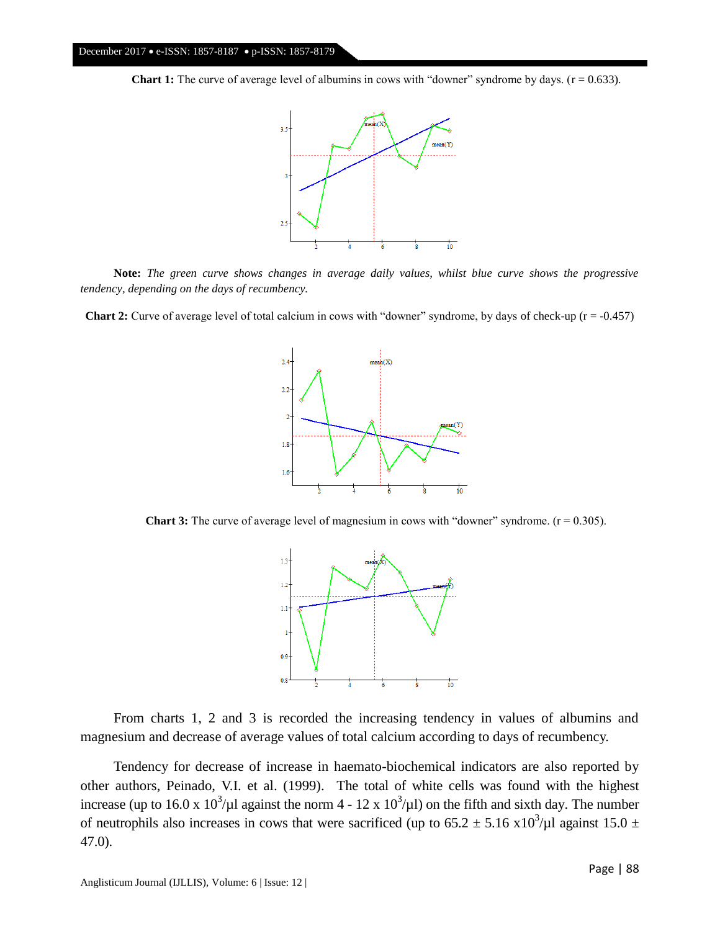**Chart 1:** The curve of average level of albumins in cows with "downer" syndrome by days. (r = 0.633).



**Note:** *The green curve shows changes in average daily values, whilst blue curve shows the progressive tendency, depending on the days of recumbency.*

**Chart 2:** Curve of average level of total calcium in cows with "downer" syndrome, by days of check-up (r = -0.457)



**Chart 3:** The curve of average level of magnesium in cows with "downer" syndrome.  $(r = 0.305)$ .



From charts 1, 2 and 3 is recorded the increasing tendency in values of albumins and magnesium and decrease of average values of total calcium according to days of recumbency.

Tendency for decrease of increase in haemato-biochemical indicators are also reported by other authors, Peinado, V.I. et al. (1999).The total of white cells was found with the highest increase (up to 16.0 x  $10^3/\mu$ l against the norm 4 - 12 x  $10^3/\mu$ ) on the fifth and sixth day. The number of neutrophils also increases in cows that were sacrificed (up to 65.2  $\pm$  5.16 x10<sup>3</sup>/ $\mu$ l against 15.0  $\pm$ 47.0).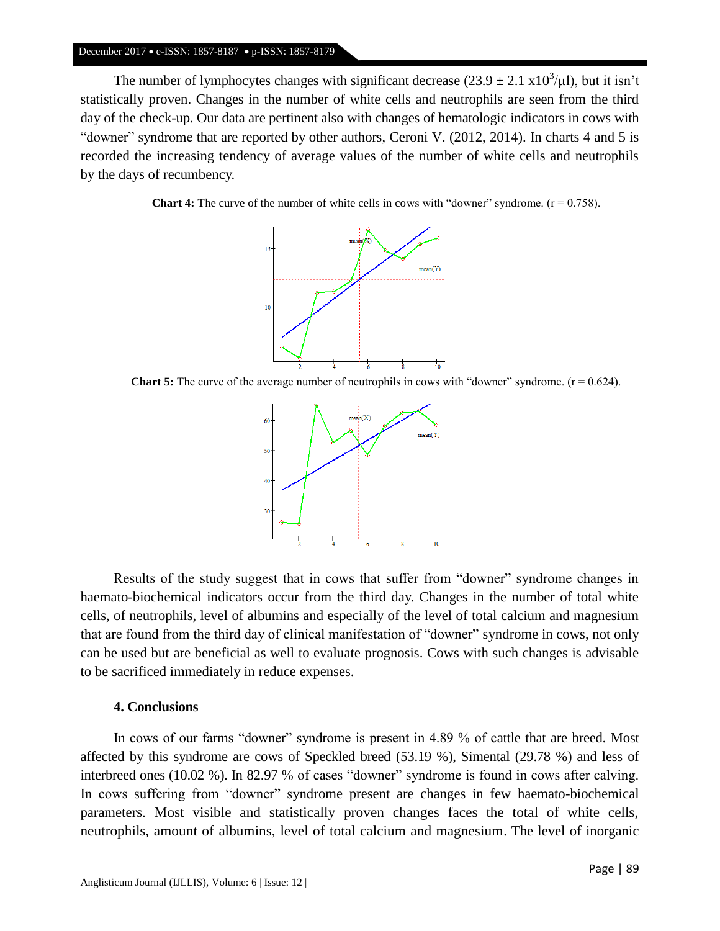#### December 2017 • e-ISSN: 1857-8187 • p-ISSN: 1857-8179

The number of lymphocytes changes with significant decrease  $(23.9 \pm 2.1 \text{ x}10^3/\mu l)$ , but it isn't statistically proven. Changes in the number of white cells and neutrophils are seen from the third day of the check-up. Our data are pertinent also with changes of hematologic indicators in cows with "downer" syndrome that are reported by other authors, Ceroni V. (2012, 2014). In charts 4 and 5 is recorded the increasing tendency of average values of the number of white cells and neutrophils by the days of recumbency.

**Chart 4:** The curve of the number of white cells in cows with "downer" syndrome. ( $r = 0.758$ ).



**Chart 5:** The curve of the average number of neutrophils in cows with "downer" syndrome.  $(r = 0.624)$ .



Results of the study suggest that in cows that suffer from "downer" syndrome changes in haemato-biochemical indicators occur from the third day. Changes in the number of total white cells, of neutrophils, level of albumins and especially of the level of total calcium and magnesium that are found from the third day of clinical manifestation of "downer" syndrome in cows, not only can be used but are beneficial as well to evaluate prognosis. Cows with such changes is advisable to be sacrificed immediately in reduce expenses.

#### **4. Conclusions**

In cows of our farms "downer" syndrome is present in 4.89 % of cattle that are breed. Most affected by this syndrome are cows of Speckled breed (53.19 %), Simental (29.78 %) and less of interbreed ones (10.02 %). In 82.97 % of cases "downer" syndrome is found in cows after calving. In cows suffering from "downer" syndrome present are changes in few haemato-biochemical parameters. Most visible and statistically proven changes faces the total of white cells, neutrophils, amount of albumins, level of total calcium and magnesium. The level of inorganic